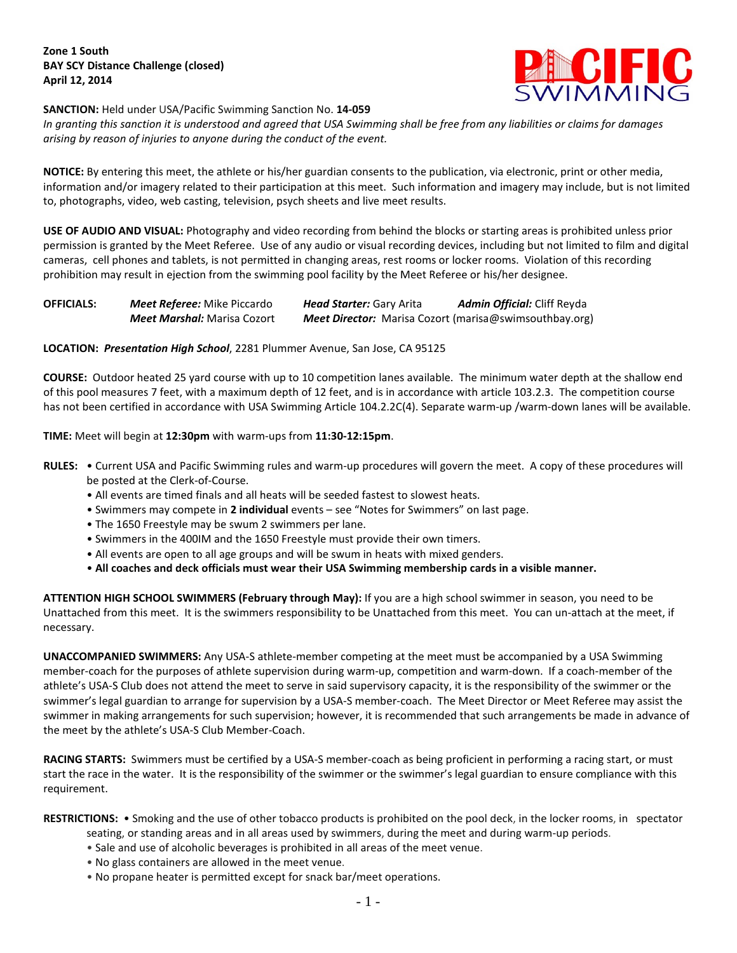**SANCTION:** Held under USA/Pacific Swimming Sanction No. **14-059**



*In granting this sanction it is understood and agreed that USA Swimming shall be free from any liabilities or claims for damages arising by reason of injuries to anyone during the conduct of the event.*

**NOTICE:** By entering this meet, the athlete or his/her guardian consents to the publication, via electronic, print or other media, information and/or imagery related to their participation at this meet. Such information and imagery may include, but is not limited to, photographs, video, web casting, television, psych sheets and live meet results.

**USE OF AUDIO AND VISUAL:** Photography and video recording from behind the blocks or starting areas is prohibited unless prior permission is granted by the Meet Referee. Use of any audio or visual recording devices, including but not limited to film and digital cameras, cell phones and tablets, is not permitted in changing areas, rest rooms or locker rooms. Violation of this recording prohibition may result in ejection from the swimming pool facility by the Meet Referee or his/her designee.

| <b>OFFICIALS:</b> | <b>Meet Referee:</b> Mike Piccardo | <b>Head Starter: Gary Arita</b>                               | <b>Admin Official:</b> Cliff Reyda |
|-------------------|------------------------------------|---------------------------------------------------------------|------------------------------------|
|                   | <b>Meet Marshal:</b> Marisa Cozort | <b>Meet Director:</b> Marisa Cozort (marisa@swimsouthbay.org) |                                    |

## **LOCATION:** *Presentation High School*, 2281 Plummer Avenue, San Jose, CA 95125

**COURSE:** Outdoor heated 25 yard course with up to 10 competition lanes available. The minimum water depth at the shallow end of this pool measures 7 feet, with a maximum depth of 12 feet, and is in accordance with article 103.2.3. The competition course has not been certified in accordance with USA Swimming Article 104.2.2C(4). Separate warm-up /warm-down lanes will be available.

**TIME:** Meet will begin at **12:30pm** with warm-ups from **11:30-12:15pm**.

- **RULES:** Current USA and Pacific Swimming rules and warm-up procedures will govern the meet. A copy of these procedures will be posted at the Clerk-of-Course.
	- All events are timed finals and all heats will be seeded fastest to slowest heats.
	- Swimmers may compete in **2 individual** events see "Notes for Swimmers" on last page.
	- The 1650 Freestyle may be swum 2 swimmers per lane.
	- Swimmers in the 400IM and the 1650 Freestyle must provide their own timers.
	- All events are open to all age groups and will be swum in heats with mixed genders.
	- **All coaches and deck officials must wear their USA Swimming membership cards in a visible manner.**

**ATTENTION HIGH SCHOOL SWIMMERS (February through May):** If you are a high school swimmer in season, you need to be Unattached from this meet. It is the swimmers responsibility to be Unattached from this meet. You can un-attach at the meet, if necessary.

**UNACCOMPANIED SWIMMERS:** Any USA-S athlete-member competing at the meet must be accompanied by a USA Swimming member-coach for the purposes of athlete supervision during warm-up, competition and warm-down. If a coach-member of the athlete's USA-S Club does not attend the meet to serve in said supervisory capacity, it is the responsibility of the swimmer or the swimmer's legal guardian to arrange for supervision by a USA-S member-coach. The Meet Director or Meet Referee may assist the swimmer in making arrangements for such supervision; however, it is recommended that such arrangements be made in advance of the meet by the athlete's USA-S Club Member-Coach.

**RACING STARTS:** Swimmers must be certified by a USA-S member-coach as being proficient in performing a racing start, or must start the race in the water. It is the responsibility of the swimmer or the swimmer's legal guardian to ensure compliance with this requirement.

**RESTRICTIONS:** • Smoking and the use of other tobacco products is prohibited on the pool deck, in the locker rooms, in spectator

- seating, or standing areas and in all areas used by swimmers, during the meet and during warm-up periods.
- Sale and use of alcoholic beverages is prohibited in all areas of the meet venue.
- No glass containers are allowed in the meet venue.
- No propane heater is permitted except for snack bar/meet operations.